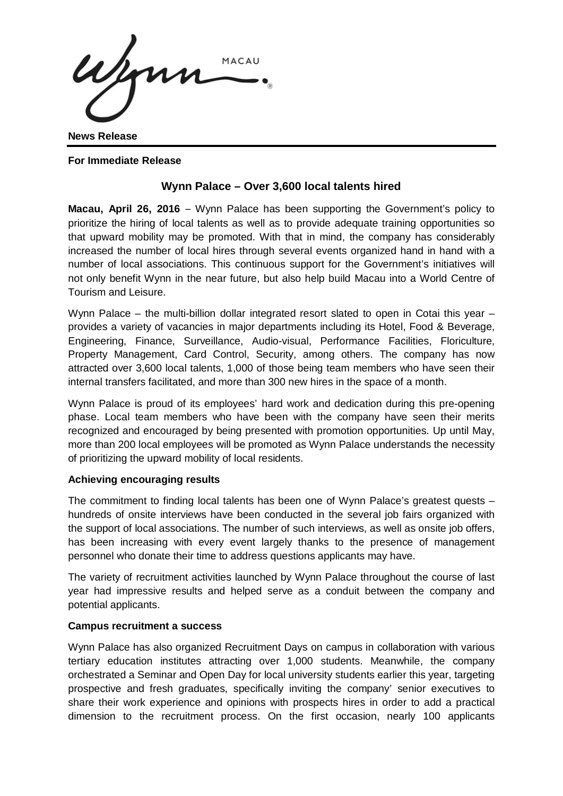Wym MACAU

**News Release**

**For Immediate Release**

# **Wynn Palace – Over 3,600 local talents hired**

**Macau, April 26, 2016** – Wynn Palace has been supporting the Government's policy to prioritize the hiring of local talents as well as to provide adequate training opportunities so that upward mobility may be promoted. With that in mind, the company has considerably increased the number of local hires through several events organized hand in hand with a number of local associations. This continuous support for the Government's initiatives will not only benefit Wynn in the near future, but also help build Macau into a World Centre of Tourism and Leisure.

Wynn Palace – the multi-billion dollar integrated resort slated to open in Cotai this year – provides a variety of vacancies in major departments including its Hotel, Food & Beverage, Engineering, Finance, Surveillance, Audio-visual, Performance Facilities, Floriculture, Property Management, Card Control, Security, among others. The company has now attracted over 3,600 local talents, 1,000 of those being team members who have seen their internal transfers facilitated, and more than 300 new hires in the space of a month.

Wynn Palace is proud of its employees' hard work and dedication during this pre-opening phase. Local team members who have been with the company have seen their merits recognized and encouraged by being presented with promotion opportunities. Up until May, more than 200 local employees will be promoted as Wynn Palace understands the necessity of prioritizing the upward mobility of local residents.

## **Achieving encouraging results**

The commitment to finding local talents has been one of Wynn Palace's greatest quests – hundreds of onsite interviews have been conducted in the several job fairs organized with the support of local associations. The number of such interviews, as well as onsite job offers, has been increasing with every event largely thanks to the presence of management personnel who donate their time to address questions applicants may have.

The variety of recruitment activities launched by Wynn Palace throughout the course of last year had impressive results and helped serve as a conduit between the company and potential applicants.

## **Campus recruitment a success**

Wynn Palace has also organized Recruitment Days on campus in collaboration with various tertiary education institutes attracting over 1,000 students. Meanwhile, the company orchestrated a Seminar and Open Day for local university students earlier this year, targeting prospective and fresh graduates, specifically inviting the company' senior executives to share their work experience and opinions with prospects hires in order to add a practical dimension to the recruitment process. On the first occasion, nearly 100 applicants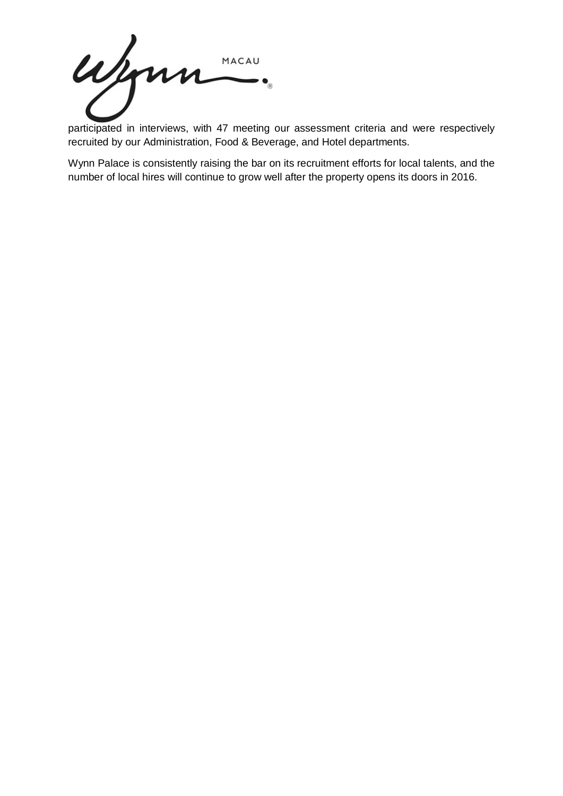ujonn MACAU

participated in interviews, with 47 meeting our assessment criteria and were respectively recruited by our Administration, Food & Beverage, and Hotel departments.

Wynn Palace is consistently raising the bar on its recruitment efforts for local talents, and the number of local hires will continue to grow well after the property opens its doors in 2016.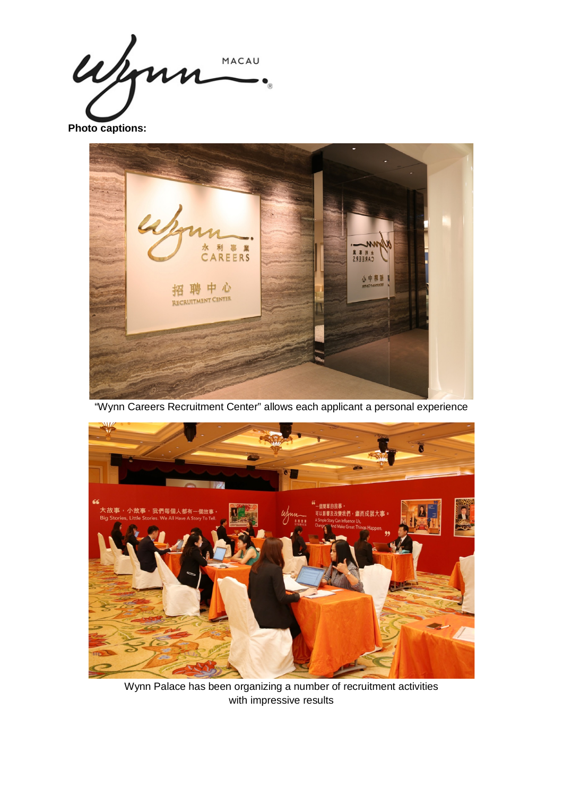Wym MACAU

**Photo captions:**



"Wynn Careers Recruitment Center" allows each applicant a personal experience



Wynn Palace has been organizing a number of recruitment activities with impressive results